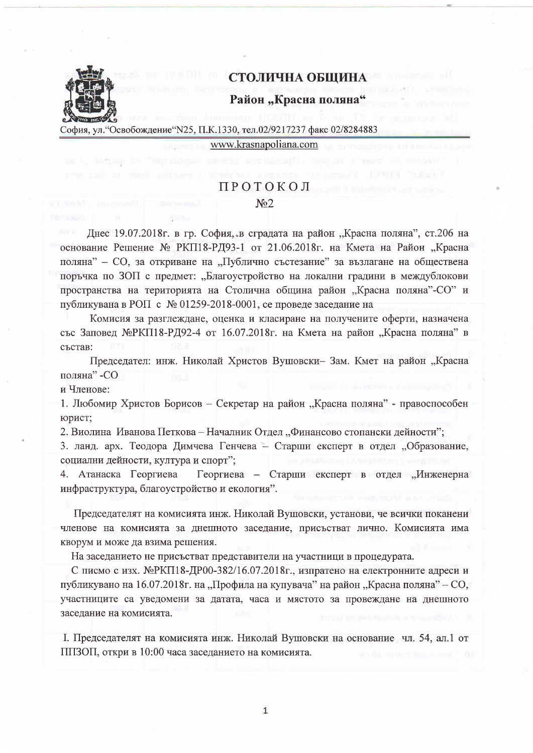

## СТОЛИЧНА ОБЩИНА

## Район "Красна поляна"

София, ул. "Освобождение "N25, П.К.1330, тел.02/9217237 факс 02/8284883

www.krasnapoliana.com

## ПРОТОКОЛ

## $N<sub>2</sub>$

Днес 19.07.2018г. в гр. София, в сградата на район "Красна поляна", ст.206 на основание Решение № РКП18-РД93-1 от 21.06.2018г. на Кмета на Район "Красна поляна" - СО, за откриване на "Публично състезание" за възлагане на обществена поръчка по ЗОП с предмет: "Благоустройство на локални градини в междублокови пространства на територията на Столична община район "Красна поляна"-СО" и публикувана в РОП с № 01259-2018-0001, се проведе заседание на

Комисия за разглеждане, оценка и класиране на получените оферти, назначена със Заповед МеРКП18-РД92-4 от 16.07.2018г. на Кмета на район "Красна поляна" в състав:

Председател: инж. Николай Христов Вушовски- Зам. Кмет на район "Красна поляна" - СО

и Членове:

1. Любомир Христов Борисов - Секретар на район "Красна поляна" - правоспособен юрист;

2. Виолина Иванова Петкова - Началник Отдел "Финансово стопански дейности";

3. ланд. арх. Теодора Димчева Генчева - Старши експерт в отдел "Образование, социални дейности, култура и спорт";

Георгиева - Старши експерт в отдел "Инженерна 4. Атанаска Георгиева инфраструктура, благоустройство и екология".

Председателят на комисията инж. Николай Вушовски, установи, че всички поканени членове на комисията за днешното заседание, присъстват лично. Комисията има кворум и може да взима решения.

На заседанието не присъстват представители на участници в процедурата.

С писмо с изх. №РКП18-ДР00-382/16.07.2018г., изпратено на електронните адреси и публикувано на 16.07.2018 г. на "Профила на купувача" на район "Красна поляна" – СО, участниците са уведомени за датата, часа и мястото за провеждане на днешното заседание на комисията.

I. Председателят на комисията инж. Николай Вушовски на основание чл. 54, ал.1 от ППЗОП, откри в 10:00 часа заседанието на комисията.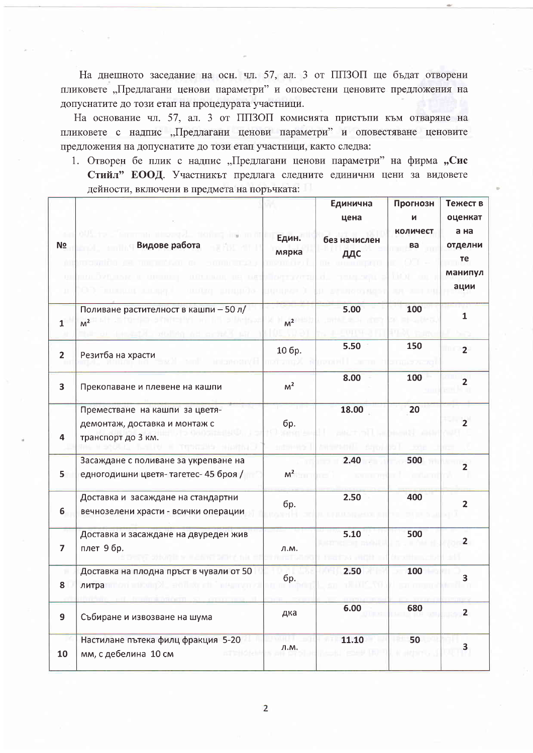На днешното заседание на осн. чл. 57, ал. 3 от ППЗОП ще бъдат отворени пликовете "Предлагани ценови параметри" и оповестени ценовите предложения на допуснатите до този етап на процедурата участници.

На основание чл. 57, ал. 3 от ППЗОП комисията пристыли към отваряне на пликовете с надпис "Предлагани ценови параметри" и оповестяване ценовите предложения на допуснатите до този етап участници, както следва:

1. Отворен бе плик с надпис "Предлагани ценови параметри" на фирма "Сис Стийл" ЕООД. Участникът предлага следните единични цени за видовете дейности, включени в предмета на поръчката:

| N <sub>Ω</sub><br>m<br>IJ<br>п | auu.<br>Видове работа<br><b>JUIJUM</b>                                                | Един.<br>мярка | Единична<br>цена<br>без начислен<br>ДДС | Прогнозн<br>И<br>количест<br>ва | Тежест в<br>оценкат<br>а на<br>отделни<br>Te<br>манипул<br>ации |
|--------------------------------|---------------------------------------------------------------------------------------|----------------|-----------------------------------------|---------------------------------|-----------------------------------------------------------------|
| $\mathbf{1}$                   | Поливане растителност в кашпи - 50 л/<br>M <sup>2</sup>                               | M <sup>2</sup> | 5.00                                    | 100                             | $\mathbf{1}$                                                    |
| $\overline{2}$                 | Резитба на храсти                                                                     | 10 бр.         | 5.50                                    | 150                             | $\overline{2}$                                                  |
| $\overline{\mathbf{3}}$        | Прекопаване и плевене на кашпи                                                        | M <sup>2</sup> | 8.00                                    | 100                             | $\overline{2}$                                                  |
| 4                              | Преместване на кашпи за цветя-<br>демонтаж, доставка и монтаж с<br>транспорт до 3 км. | бр.            | 18.00                                   | 20                              | $\overline{2}$                                                  |
| 5                              | Засаждане с поливане за укрепване на<br>едногодишни цветя-тагетес-45 броя /           | $M^2$          | 2.40                                    | 500                             | $\overline{2}$                                                  |
| 6                              | Доставка и засаждане на стандартни<br>вечнозелени храсти - всички операции            | бр.            | 2.50                                    | 400                             | $\overline{2}$                                                  |
| $\overline{7}$                 | Доставка и засаждане на двуреден жив<br>плет 9 бр.                                    | Л.М.           | 5.10                                    | 500                             | $\overline{2}$                                                  |
| 8                              | Доставка на плодна пръст в чували от 50<br>литра                                      | бр.            | 2.50                                    | 100                             | 3                                                               |
| $\mathbf{9}$                   | Събиране и извозване на шума                                                          | дка            | 6.00                                    | 680                             | $\overline{2}$                                                  |
| 10                             | Настилане пътека филц фракция 5-20<br>мм, с дебелина 10 см<br>enar                    | л.м.           | 11.10                                   | 50<br><b>KINDITIL</b>           | 3                                                               |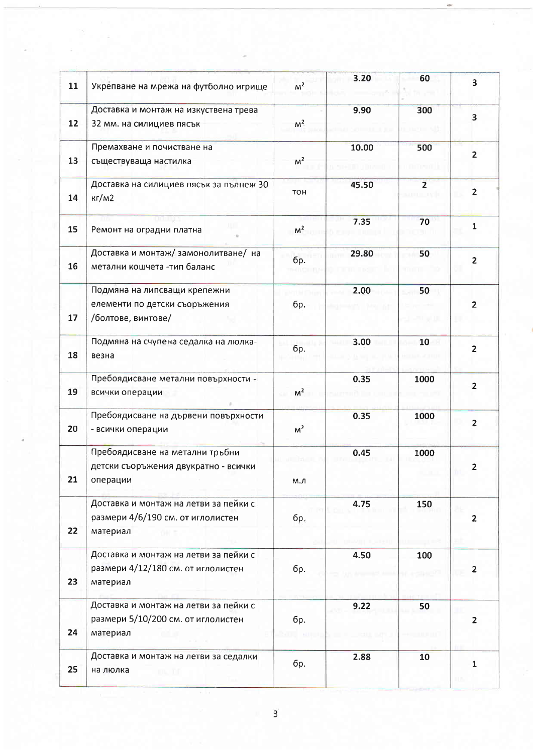| 11 | Укрепване на мрежа на футболно игрище                                                   | M <sup>2</sup> | 3.20  | 60                         | $\overline{\mathbf{3}}$ |
|----|-----------------------------------------------------------------------------------------|----------------|-------|----------------------------|-------------------------|
| 12 | Доставка и монтаж на изкуствена трева<br>32 мм. на силициев пясък                       | M <sup>2</sup> | 9.90  | 300                        | 3                       |
| 13 | Премахване и почистване на<br>съществуваща настилка                                     | M <sup>2</sup> | 10.00 | 500                        | $\overline{2}$          |
| 14 | Доставка на силициев пясък за пълнеж 30<br>kT/M2                                        | TOH            | 45.50 | $\overline{2}$<br>n e neto | $\overline{2}$          |
| 15 | omm<br>Ремонт на оградни платна                                                         | M <sup>2</sup> | 7.35  | 70                         | $\mathbf{1}$            |
| 16 | Доставка и монтаж/замонолитване/ на<br>метални кошчета -тип баланс                      | бр.            | 29.80 | 50                         | $\overline{2}$          |
| 17 | Подмяна на липсващи крепежни<br>елементи по детски съоръжения<br>/болтове, винтове/     | бр.            | 2.00  | 50                         | $\overline{2}$          |
| 18 | Подмяна на счупена седалка на люлка-<br>везна                                           | бр.            | 3.00  | 10                         | $\overline{2}$          |
| 19 | Пребоядисване метални повърхности -<br>всички операции                                  | M <sup>2</sup> | 0.35  | 1000                       | $\overline{2}$          |
| 20 | Пребоядисване на дървени повърхности<br>- всички операции                               | M <sup>2</sup> | 0.35  | 1000                       | $\overline{2}$          |
| 21 | Пребоядисване на метални тръбни<br>детски съоръжения двукратно - всички<br>операции     | М.Л            | 0.45  | 1000                       | $\overline{2}$          |
| 22 | Доставка и монтаж на летви за пейки с<br>размери 4/6/190 см. от иглолистен<br>материал  | бр.            | 4.75  | 150                        | $\overline{2}$          |
| 23 | Доставка и монтаж на летви за пейки с<br>размери 4/12/180 см. от иглолистен<br>материал | бр.            | 4.50  | 100                        | $\overline{2}$          |
| 24 | Доставка и монтаж на летви за пейки с<br>размери 5/10/200 см. от иглолистен<br>материал | бр.            | 9.22  | 50                         | $\overline{2}$          |
| 25 | Доставка и монтаж на летви за седалки<br>на люлка<br>DIN 197                            | бр.            | 2.88  | 10                         | 1                       |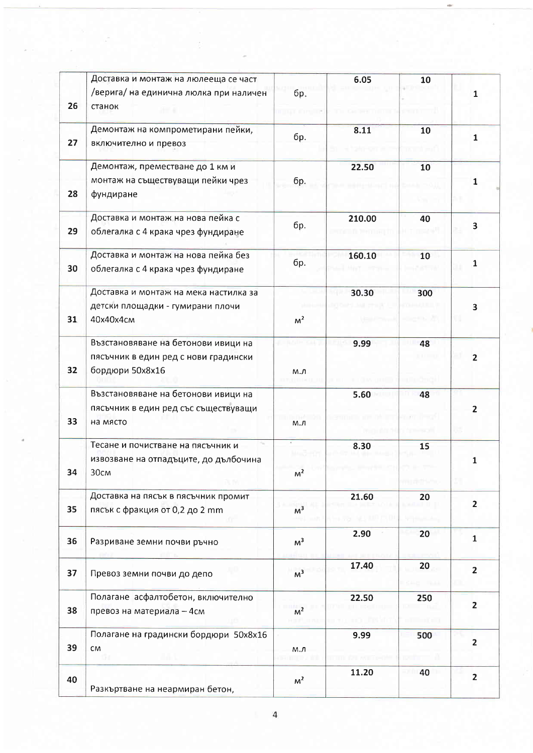|    | Доставка и монтаж на люлееща се част<br>/верига/ на единична люлка при наличен                 | бр.            | 6.05   | 10  | 1.             |
|----|------------------------------------------------------------------------------------------------|----------------|--------|-----|----------------|
| 26 | станок                                                                                         |                |        |     |                |
| 27 | Демонтаж на компрометирани пейки,<br>включително и превоз                                      | бр.            | 8.11   | 10  | $\mathbf{1}$   |
| 28 | Демонтаж, преместване до 1 км и<br>монтаж на съществуващи пейки чрез<br>фундиране              | бр.            | 22.50  | 10  | 1              |
| 29 | Доставка и монтаж на нова пейка с<br>облегалка с 4 крака чрез фундиране                        | бр.            | 210.00 | 40  | 3              |
| 30 | Доставка и монтаж на нова пейка без<br>облегалка с 4 крака чрез фундиране                      | бр.            | 160.10 | 10  | 1              |
| 31 | Доставка и монтаж на мека настилка за<br>детски площадки - гумирани плочи<br>40x40x4cm         | M <sup>2</sup> | 30.30  | 300 | 3              |
| 32 | Възстановяване на бетонови ивици на<br>пясъчник в един ред с нови градински<br>бордюри 50х8х16 | М.Л            | 9.99   | 48  | $\overline{2}$ |
| 33 | Възстановяване на бетонови ивици на<br>пясъчник в един ред със съществуващи<br>на място        | м.л            | 5.60   | 48  | 2              |
| 34 | Тесане и почистване на пясъчник и<br>извозване на отпадъците, до дълбочина<br>30cm             | $M^2$          | 8.30   | 15  | 1              |
| 35 | Доставка на пясък в пясъчник промит<br>пясък с фракция от 0,2 до 2 mm                          | M <sup>3</sup> | 21.60  | 20  | $\overline{2}$ |
| 36 | Разриване земни почви ръчно                                                                    | M <sup>3</sup> | 2.90   | 20  | $\mathbf{1}$   |
| 37 | Превоз земни почви до депо                                                                     | M <sup>3</sup> | 17.40  | 20  | $\overline{2}$ |
| 38 | Полагане асфалтобетон, включително<br>превоз на материала - 4см                                | M <sup>2</sup> | 22.50  | 250 | $\overline{2}$ |
| 39 | Полагане на градински бордюри 50x8x16<br>${\sf CM}$                                            | М.Л            | 9.99   | 500 | $\overline{2}$ |
| 40 | Разкъртване на неармиран бетон,                                                                | M <sup>2</sup> | 11.20  | 40  | $\overline{2}$ |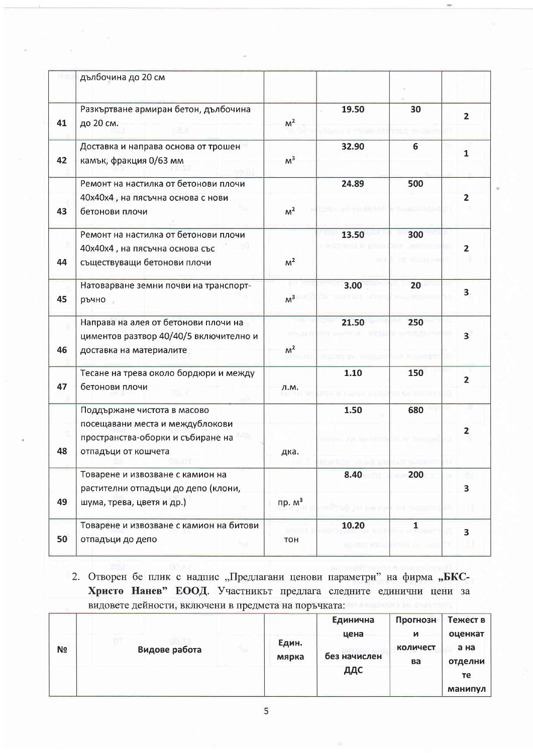|    | дълбочина до 20 см                                                                                                         |                |                           |                                |                         |
|----|----------------------------------------------------------------------------------------------------------------------------|----------------|---------------------------|--------------------------------|-------------------------|
| 41 | Разкъртване армиран бетон, дълбочина<br>до 20 см.                                                                          | M <sup>2</sup> | 19.50                     | 30                             | $\overline{2}$          |
| 42 | Доставка и направа основа от трошен<br>камък, фракция 0/63 мм                                                              | M <sup>3</sup> | 32.90                     | 6                              | $\mathbf{1}$            |
| 43 | Ремонт на настилка от бетонови плочи<br>40х40х4, на пясъчна основа с нови<br>бетонови плочи                                | M <sup>2</sup> | 24.89                     | 500                            | $\overline{\mathbf{2}}$ |
| 44 | Ремонт на настилка от бетонови плочи<br>40х40х4, на пясъчна основа със<br>съществуващи бетонови плочи                      | M <sup>2</sup> | 13.50                     | 300                            | $\overline{2}$          |
| 45 | Натоварване земни почви на транспорт-<br>ръчно                                                                             | M <sup>3</sup> | 3.00                      | 20                             | $\overline{\mathbf{3}}$ |
| 46 | Направа на алея от бетонови плочи на<br>циментов разтвор 40/40/5 включително и<br>доставка на материалите                  | M <sup>2</sup> | 21.50                     | 250                            | $\overline{\mathbf{3}}$ |
| 47 | Тесане на трева около бордюри и между<br>бетонови плочи                                                                    | л.м.           | 1.10                      | 150                            | $\overline{2}$          |
| 48 | Поддържане чистота в масово<br>посещавани места и междублокови<br>пространства-оборки и събиране на<br>отпадъци от кошчета | дка.           | 1.50                      | 680                            | $\mathbf{2}$            |
| 49 | Товарене и извозване с камион на<br>растителни отпадъци до депо (клони,<br>шума, трева, цветя и др.)                       | пр. $M3$       | 8.40                      | 200<br><b>ETA 19621 - 1963</b> | 3                       |
| 50 | Товарене и извозване с камион на битови<br>отпадъци до депо                                                                | TOH            | 10.20<br><b>BALLASTER</b> | $\mathbf{1}$                   | 3                       |

2. Отворен бе плик с надпис "Предлагани ценови параметри" на фирма "БКС-Христо Нанев" ЕООД. Участникът предлага следните единични цени за видовете дейности, включени в предмета на поръчката:

|                |               |                | Единична     | Прогнозн       | Тежест в        |
|----------------|---------------|----------------|--------------|----------------|-----------------|
|                |               |                | цена         | и              | оценкат         |
| N <sub>2</sub> | Видове работа | Един.<br>мярка | без начислен | количест<br>ва | а на<br>отделни |
|                |               |                | ДДС          |                | те              |
|                |               |                |              |                | манипул         |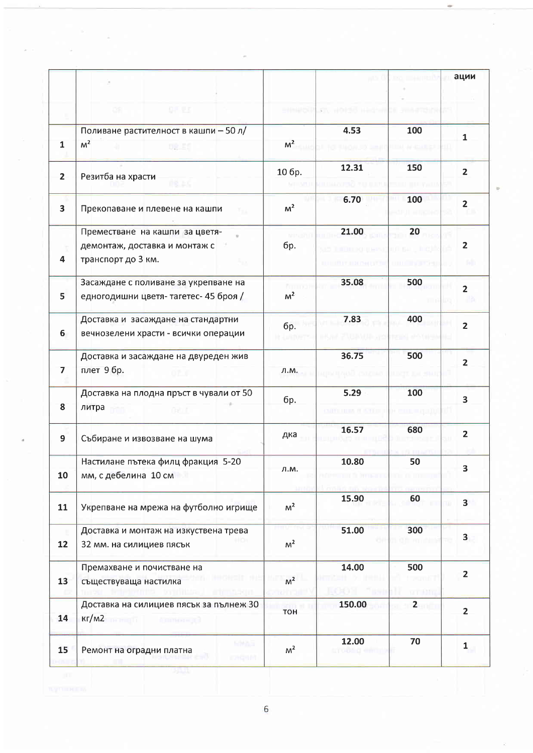|                         |                                                                                       |                               |                           | 3441933                | ации                    |
|-------------------------|---------------------------------------------------------------------------------------|-------------------------------|---------------------------|------------------------|-------------------------|
|                         | 91.57<br>ĐS.                                                                          | 5114250                       | <b>FILE WORREN HARD W</b> |                        |                         |
| $\mathbf{1}$            | Поливане растителност в кашпи - 50 л/<br>M <sup>2</sup><br><b>DR.ES</b>               | M <sup>2</sup>                | 4.53                      | 100                    | $\mathbf{1}$            |
| $\mathbf{2}$            | Резитба на храсти<br>16.45                                                            | 10 бр.                        | 12.31                     | 150                    | $\overline{2}$          |
| $\overline{\mathbf{3}}$ | Прекопаване и плевене на кашпи                                                        | M <sup>2</sup>                | 6.70                      | 100                    | $\overline{\mathbf{2}}$ |
| 4                       | Преместване на кашпи за цветя-<br>демонтаж, доставка и монтаж с<br>транспорт до 3 км. | бр.                           | 21.00                     | 20                     | $\overline{2}$          |
| 5                       | Засаждане с поливане за укрепване на<br>едногодишни цветя-тагетес- 45 броя /          | <b>Tump</b><br>M <sup>2</sup> | 35.08                     | 500                    | $\overline{\mathbf{2}}$ |
| 6                       | Доставка и засаждане на стандартни<br>вечнозелени храсти - всички операции            | <b>бр.</b>                    | 7.83                      | 400                    | $\overline{2}$          |
| $\overline{7}$          | Доставка и засаждане на двуреден жив<br>плет 9 бр.                                    | Л.М.                          | 36.75                     | 500                    | $\overline{2}$          |
| 8                       | Доставка на плодна пръст в чували от 50<br>литра                                      | бр.                           | 5.29                      | 100                    | $\overline{\mathbf{3}}$ |
| 9                       | Събиране и извозване на шума                                                          | дка                           | 16.57                     | 680                    | $\overline{2}$          |
| 10                      | Настилане пътека филц фракция 5-20<br>мм, с дебелина 10 см                            | л.м.                          | 10.80                     | 50                     | 3                       |
| 11                      | Укрепване на мрежа на футболно игрище                                                 | M <sup>2</sup>                | 15.90                     | 60                     | 3 <sup>1</sup>          |
| 12                      | Доставка и монтаж на изкуствена трева<br>32 мм. на силициев пясък                     | M <sup>2</sup>                | 51.00                     | 300                    | 3 <sub>1</sub>          |
| 13                      | Премахване и почистване на<br>съществуваща настилка                                   | M <sup>2</sup>                | 14.00                     | 500                    | $\overline{\mathbf{2}}$ |
| 14                      | Доставка на силициев пясък за пълнеж 30<br>$KT/M2$ means $T$ and $T$                  | <b>TOH</b>                    | 150.00                    | $2 \quad \blacksquare$ | $\overline{2}$          |
| 15 <sub>1</sub>         | HMAS<br>Ремонт на оградни платна<br>rzigan.                                           | M <sup>2</sup>                | 12.00<br>trobar 4         | 70                     | $\mathbf{1}$            |

 $\sim$   $^{-1}$ 

 $\boldsymbol{6}$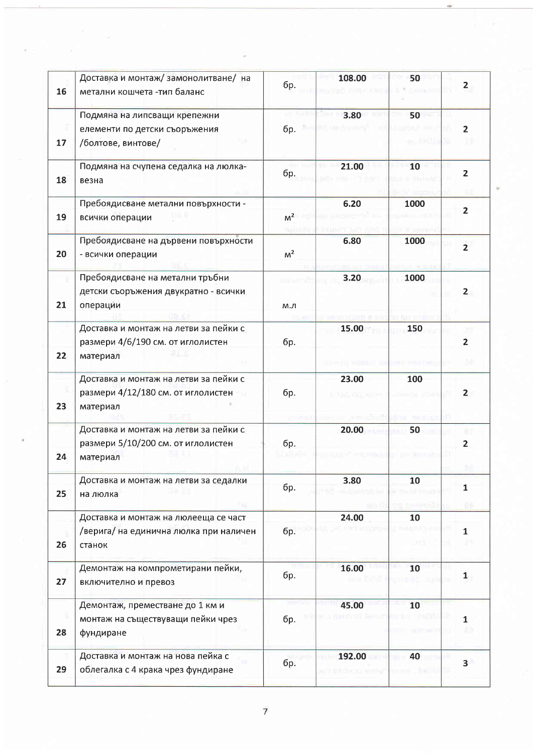| 16 | Доставка и монтаж/ замонолитване/ на<br>метални кошчета -тип баланс                      | бр.              | 108.00              | 50          | $\overline{2}$          |
|----|------------------------------------------------------------------------------------------|------------------|---------------------|-------------|-------------------------|
| 17 | Подмяна на липсващи крепежни<br>елементи по детски съоръжения<br>/болтове, винтове/      | бр.              | 3.80                | 50          | $\overline{2}$          |
| 18 | Подмяна на счупена седалка на люлка-<br>везна                                            | бр.              | 21.00               | 10          | $\overline{2}$          |
| 19 | Пребоядисване метални повърхности -<br>всички операции                                   | M <sup>2</sup>   | 6.20                | 1000        | $\overline{2}$          |
| 20 | Пребоядисване на дървени повърхности<br>- всички операции                                | M <sup>2</sup>   | 6.80                | 1000        | $\overline{2}$          |
| 21 | Пребоядисване на метални тръбни<br>детски съоръжения двукратно - всички<br>операции      | in novemb<br>м.л | 3.20                | 1000        | $\mathbf{2}$            |
| 22 | Доставка и монтаж на летви за пейки с<br>размери 4/6/190 см. от иглолистен<br>материал   | бр.              | 15.00               | 150         | $\overline{2}$          |
| 23 | Доставка и монтаж на летви за пейки с<br>размери 4/12/180 см. от иглолистен<br>материал  | бр.              | 23.00               | 100         | $\overline{2}$          |
| 24 | Доставка и монтаж на летви за пейки с<br>размери 5/10/200 см. от иглолистен<br>материал  | бр.              | 20.00               | 50          | $\overline{2}$          |
| 25 | Доставка и монтаж на летви за седалки<br>на люлка                                        | бр.              | 3.80                | 10          | $\mathbf{1}$<br>٥÷      |
| 26 | Доставка и монтаж на люлееща се част<br>/верига/ на единична люлка при наличен<br>станок | бр.              | 24.00               | 10          | $\overline{1}$          |
| 27 | Демонтаж на компрометирани пейки,<br>включително и превоз                                | бр.              | 16.00               | 10<br>au ur | $\mathbf{1}$            |
| 28 | Демонтаж, преместване до 1 км и<br>монтаж на съществуващи пейки чрез<br>фундиране        | бр.              | 45.00               | 10          | 1                       |
| 29 | Доставка и монтаж на нова пейка с<br>облегалка с 4 крака чрез фундиране                  | бр.              | 192.00<br>raa mitty | 40          | $\overline{\mathbf{3}}$ |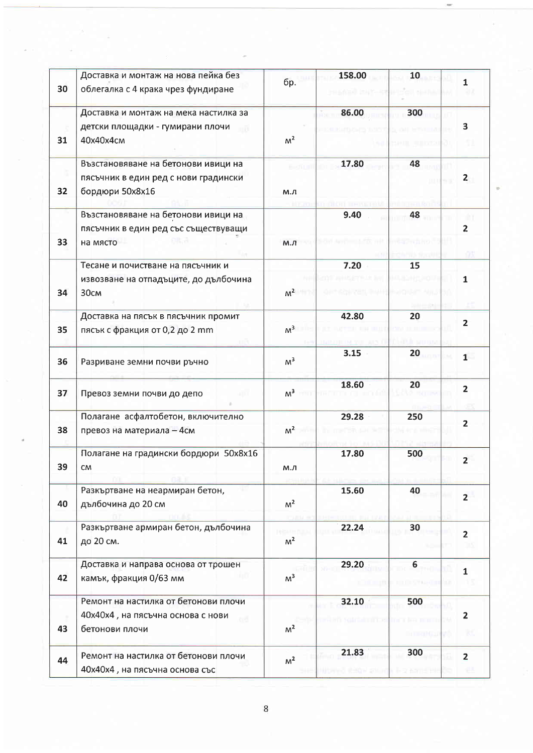| 30 | Доставка и монтаж на нова пейка без<br>облегалка с 4 крака чрез фундиране                      | бр.            | 158.00 | 10              | $\mathbf{1}$<br>ùZ.          |
|----|------------------------------------------------------------------------------------------------|----------------|--------|-----------------|------------------------------|
| 31 | Доставка и монтаж на мека настилка за<br>детски площадки - гумирани плочи<br>40x40x4cm         | M <sup>2</sup> | 86.00  | 300             | 3                            |
| 32 | Възстановяване на бетонови ивици на<br>пясъчник в един ред с нови градински<br>бордюри 50х8х16 | М.Л            | 17.80  | 48              | $\mathbf{2}$                 |
| 33 | Възстановяване на бетонови ивици на<br>пясъчник в един ред със съществуващи<br>на място        | М.Л            | 9.40   | 48              | $\overline{2}$               |
| 34 | Тесане и почистване на пясъчник и<br>извозване на отпадъците, до дълбочина<br>30cm             | $M^2$          | 7.20   | 15              | 1                            |
| 35 | Доставка на пясък в пясъчник промит<br>пясък с фракция от 0,2 до 2 mm                          | M <sup>3</sup> | 42.80  | 20              | $\overline{2}$               |
| 36 | Разриване земни почви ръчно                                                                    | M <sup>3</sup> | 3.15   | 20              | 1                            |
| 37 | Превоз земни почви до депо                                                                     | M <sup>3</sup> | 18.60  | 20              | $\overline{2}$               |
| 38 | Полагане асфалтобетон, включително<br>превоз на материала - 4см                                | M <sup>2</sup> | 29.28  | 250             | $\overline{2}$               |
| 39 | Полагане на градински бордюри 50х8х16<br>CM                                                    | м.л            | 17.80  | 500             | $\overline{2}$               |
| 40 | Разкъртване на неармиран бетон,<br>дълбочина до 20 см                                          | M <sup>2</sup> | 15.60  | 40              | $\overline{2}$               |
| 41 | Разкъртване армиран бетон, дълбочина<br>до 20 см.                                              | M <sup>2</sup> | 22.24  | 30              | $\overline{2}$               |
| 42 | Доставка и направа основа от трошен<br>камък, фракция 0/63 мм                                  | M <sup>3</sup> | 29.20  | $\bf 6$         | $\overline{\mathbf{1}}$      |
| 43 | Ремонт на настилка от бетонови плочи<br>40х40х4, на пясъчна основа с нови<br>бетонови плочи    | M <sup>2</sup> | 32.10  | 500<br>h ments: | $\overline{\mathbf{2}}$<br>к |
| 44 | Ремонт на настилка от бетонови плочи<br>40х40х4, на пясъчна основа със                         | M <sup>2</sup> | 21.83  | 300             | $\overline{\mathbf{2}}$      |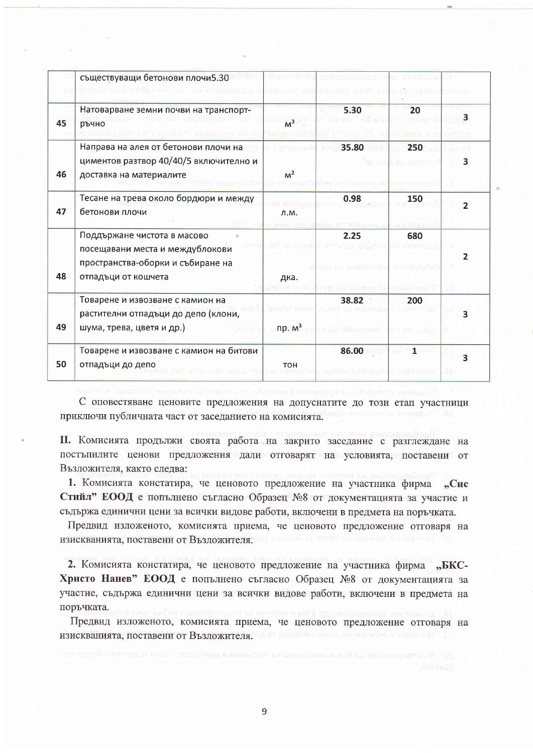|    | съществуващи бетонови плочи5.30<br>in the format of the products.                                                          |                |       | LEI OFFEREI       |   |
|----|----------------------------------------------------------------------------------------------------------------------------|----------------|-------|-------------------|---|
| 45 | Натоварване земни почви на транспорт-<br>ръчно                                                                             | M <sup>3</sup> | 5.30  | 20                | 3 |
| 46 | Направа на алея от бетонови плочи на<br>циментов разтвор 40/40/5 включително и<br>доставка на материалите                  | M <sup>2</sup> | 35.80 | 250<br>ên 110 han | з |
| 47 | Тесане на трева около бордюри и между<br>бетонови плочи                                                                    | Л.М.           | 0.98  | 150               |   |
| 48 | Поддържане чистота в масово<br>посещавани места и междублокови<br>пространства-оборки и събиране на<br>отпадъци от кошчета | дка.           | 2.25  | 680               |   |
| 49 | Товарене и извозване с камион на<br>растителни отпадъци до депо (клони,<br>шума, трева, цветя и др.)                       | пр. $M^3$      | 38.82 | 200               |   |
| 50 | Товарене и извозване с камион на битови<br>отпадъци до депо                                                                | <b>TOH</b>     | 86.00 | $\mathbf{1}$      | 3 |

С оповестяване ценовите предложения на допуснатите до този етап участници приключи публичната част от заседанието на комисията.

П. Комисията продължи своята работа на закрито заседание с разглеждане на постъпилите ценови предложения дали отговарят на условията, поставени от Възложителя, както следва:

1. Комисията констатира, че ценовото предложение на участника фирма "Сис Стийл" ЕООД е попълнено съгласно Образец №8 от документацията за участие и съдържа единични цени за всички видове работи, включени в предмета на поръчката.

Предвид изложеното, комисията приема, че ценовото предложение отговаря на изискванията, поставени от Възложителя.

2. Комисията констатира, че ценовото предложение на участника фирма "БКС-Христо Нанев" ЕООД е попълнено съгласно Образец №8 от документацията за участие, съдържа единични цени за всички видове работи, включени в предмета на поръчката.

Предвид изложеното, комисията приема, че ценовото предложение отговаря на изискванията, поставени от Възложителя.

9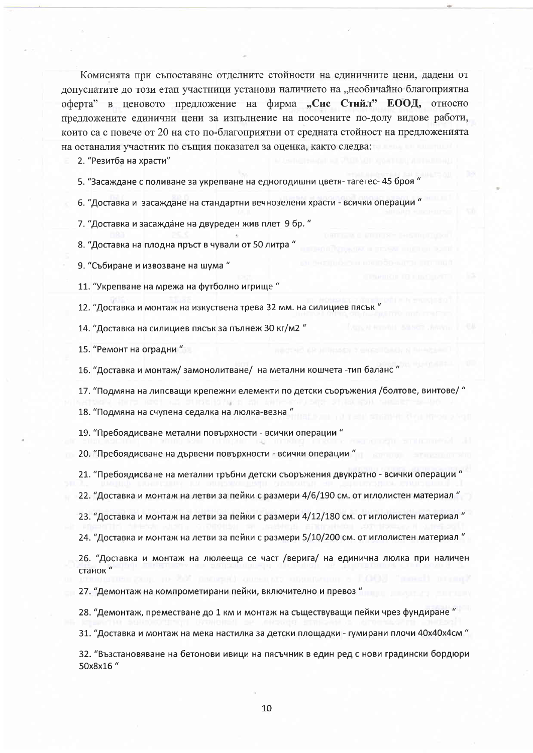Комисията при съпоставяне отделните стойности на единичните цени, дадени от допуснатите до този етап участници установи наличието на "необичайно благоприятна оферта" в ценовото предложение на фирма "Сис Стийл" ЕООД, относно предложените единични цени за изпълнение на посочените по-долу видове работи, които са с повече от 20 на сто по-благоприятни от средната стойност на предложенията на останалия участник по същия показател за оценка, както следва:

2. "Резитба на храсти"

5. "Засаждане с поливане за укрепване на едногодишни цветя-тагетес- 45 броя '

6. "Доставка и засаждане на стандартни вечнозелени храсти - всички операции "

7. "Доставка и засаждане на двуреден жив плет 9 бр. "

8. "Доставка на плодна пръст в чували от 50 литра "

9. "Събиране и извозване на шума"

11. "Укрепване на мрежа на футболно игрище"

12. "Доставка и монтаж на изкуствена трева 32 мм. на силициев пясък '

14. "Доставка на силициев пясък за пълнеж 30 кг/м2"

15. "Ремонт на оградни"

16. "Доставка и монтаж/ замонолитване/ на метални кошчета -тип баланс

17. "Подмяна на липсващи крепежни елементи по детски съоръжения /болтове, винтове/ "

18. "Подмяна на счупена седалка на люлка-везна"

19. "Пребоядисване метални повърхности - всички операции "

20. "Пребоядисване на дървени повърхности - всички операции "

21. "Пребоядисване на метални тръбни детски съоръжения двукратно - всички операции "

22. "Доставка и монтаж на летви за пейки с размери 4/6/190 см. от иглолистен материал"

23. "Доставка и монтаж на летви за пейки с размери 4/12/180 см. от иглолистен материал "

24. "Доставка и монтаж на летви за пейки с размери 5/10/200 см. от иглолистен материал"

26. "Доставка и монтаж на люлееща се част /верига/ на единична люлка при наличен станок"

27. "Демонтаж на компрометирани пейки, включително и превоз "

28. "Демонтаж, преместване до 1 км и монтаж на съществуващи пейки чрез фундиране"

31. "Доставка и монтаж на мека настилка за детски площадки - гумирани плочи 40х40х4см "

32. "Възстановяване на бетонови ивици на пясъчник в един ред с нови градински бордюри 50x8x16"